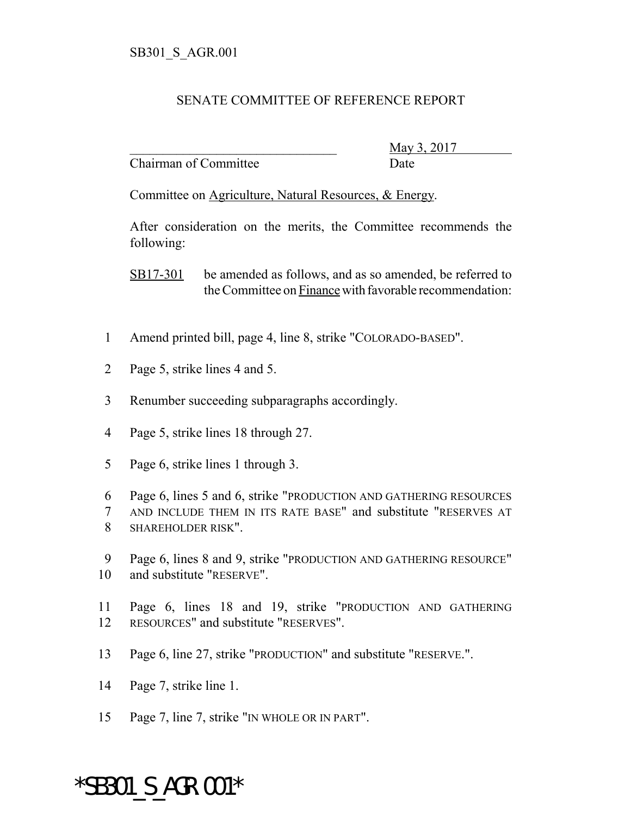## SENATE COMMITTEE OF REFERENCE REPORT

Chairman of Committee Date

\_\_\_\_\_\_\_\_\_\_\_\_\_\_\_\_\_\_\_\_\_\_\_\_\_\_\_\_\_\_\_ May 3, 2017

Committee on Agriculture, Natural Resources, & Energy.

After consideration on the merits, the Committee recommends the following:

SB17-301 be amended as follows, and as so amended, be referred to the Committee on Finance with favorable recommendation:

- 1 Amend printed bill, page 4, line 8, strike "COLORADO-BASED".
- 2 Page 5, strike lines 4 and 5.
- 3 Renumber succeeding subparagraphs accordingly.
- 4 Page 5, strike lines 18 through 27.
- 5 Page 6, strike lines 1 through 3.

6 Page 6, lines 5 and 6, strike "PRODUCTION AND GATHERING RESOURCES 7 AND INCLUDE THEM IN ITS RATE BASE" and substitute "RESERVES AT 8 SHAREHOLDER RISK".

- 9 Page 6, lines 8 and 9, strike "PRODUCTION AND GATHERING RESOURCE" 10 and substitute "RESERVE".
- 11 Page 6, lines 18 and 19, strike "PRODUCTION AND GATHERING 12 RESOURCES" and substitute "RESERVES".
- 13 Page 6, line 27, strike "PRODUCTION" and substitute "RESERVE.".
- 14 Page 7, strike line 1.
- 15 Page 7, line 7, strike "IN WHOLE OR IN PART".

## \*SB301\_S\_AGR.001\*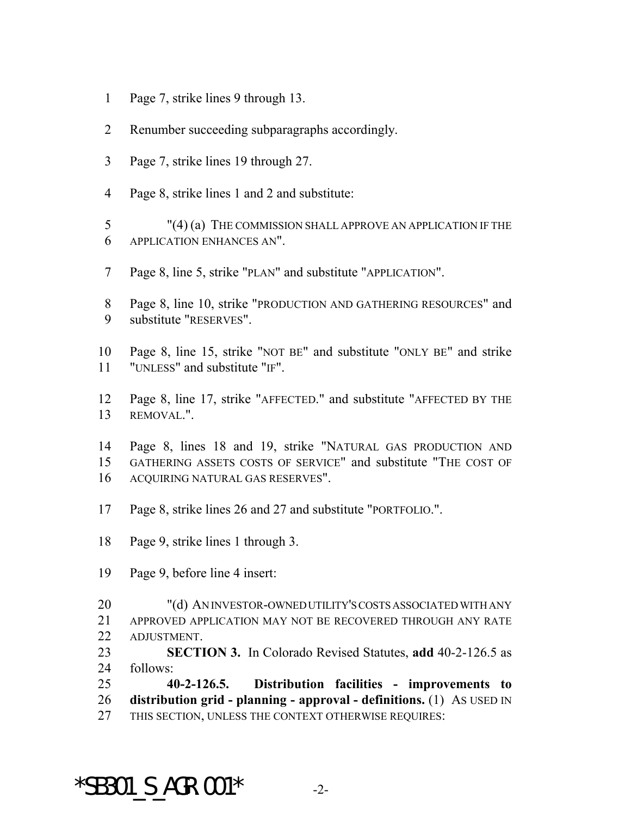- Page 7, strike lines 9 through 13.
- Renumber succeeding subparagraphs accordingly.
- Page 7, strike lines 19 through 27.
- Page 8, strike lines 1 and 2 and substitute:

 "(4) (a) THE COMMISSION SHALL APPROVE AN APPLICATION IF THE APPLICATION ENHANCES AN".

- Page 8, line 5, strike "PLAN" and substitute "APPLICATION".
- Page 8, line 10, strike "PRODUCTION AND GATHERING RESOURCES" and substitute "RESERVES".
- Page 8, line 15, strike "NOT BE" and substitute "ONLY BE" and strike "UNLESS" and substitute "IF".
- Page 8, line 17, strike "AFFECTED." and substitute "AFFECTED BY THE REMOVAL.".
- Page 8, lines 18 and 19, strike "NATURAL GAS PRODUCTION AND GATHERING ASSETS COSTS OF SERVICE" and substitute "THE COST OF ACQUIRING NATURAL GAS RESERVES".
- Page 8, strike lines 26 and 27 and substitute "PORTFOLIO.".
- Page 9, strike lines 1 through 3.
- Page 9, before line 4 insert:
- "(d) AN INVESTOR-OWNED UTILITY'S COSTS ASSOCIATED WITH ANY APPROVED APPLICATION MAY NOT BE RECOVERED THROUGH ANY RATE ADJUSTMENT.
- **SECTION 3.** In Colorado Revised Statutes, **add** 40-2-126.5 as follows:
- **40-2-126.5. Distribution facilities improvements to distribution grid - planning - approval - definitions.** (1) AS USED IN THIS SECTION, UNLESS THE CONTEXT OTHERWISE REQUIRES:

## $*$ SB301 S AGR.001 $*$  -2-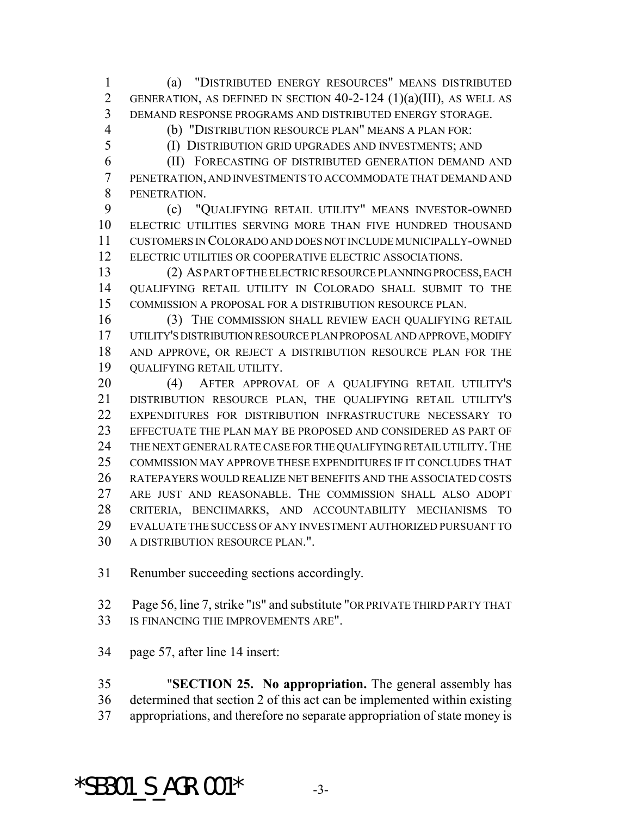(a) "DISTRIBUTED ENERGY RESOURCES" MEANS DISTRIBUTED 2 GENERATION, AS DEFINED IN SECTION  $40-2-124$   $(1)(a)(III)$ , AS WELL AS DEMAND RESPONSE PROGRAMS AND DISTRIBUTED ENERGY STORAGE.

 (b) "DISTRIBUTION RESOURCE PLAN" MEANS A PLAN FOR: (I) DISTRIBUTION GRID UPGRADES AND INVESTMENTS; AND

 (II) FORECASTING OF DISTRIBUTED GENERATION DEMAND AND PENETRATION, AND INVESTMENTS TO ACCOMMODATE THAT DEMAND AND PENETRATION.

 (c) "QUALIFYING RETAIL UTILITY" MEANS INVESTOR-OWNED ELECTRIC UTILITIES SERVING MORE THAN FIVE HUNDRED THOUSAND CUSTOMERS IN COLORADO AND DOES NOT INCLUDE MUNICIPALLY-OWNED ELECTRIC UTILITIES OR COOPERATIVE ELECTRIC ASSOCIATIONS.

 (2) AS PART OF THE ELECTRIC RESOURCE PLANNING PROCESS, EACH QUALIFYING RETAIL UTILITY IN COLORADO SHALL SUBMIT TO THE COMMISSION A PROPOSAL FOR A DISTRIBUTION RESOURCE PLAN.

 (3) THE COMMISSION SHALL REVIEW EACH QUALIFYING RETAIL UTILITY'S DISTRIBUTION RESOURCE PLAN PROPOSAL AND APPROVE, MODIFY AND APPROVE, OR REJECT A DISTRIBUTION RESOURCE PLAN FOR THE QUALIFYING RETAIL UTILITY.

 (4) AFTER APPROVAL OF A QUALIFYING RETAIL UTILITY'S DISTRIBUTION RESOURCE PLAN, THE QUALIFYING RETAIL UTILITY'S EXPENDITURES FOR DISTRIBUTION INFRASTRUCTURE NECESSARY TO EFFECTUATE THE PLAN MAY BE PROPOSED AND CONSIDERED AS PART OF 24 THE NEXT GENERAL RATE CASE FOR THE QUALIFYING RETAIL UTILITY. THE COMMISSION MAY APPROVE THESE EXPENDITURES IF IT CONCLUDES THAT RATEPAYERS WOULD REALIZE NET BENEFITS AND THE ASSOCIATED COSTS ARE JUST AND REASONABLE. THE COMMISSION SHALL ALSO ADOPT CRITERIA, BENCHMARKS, AND ACCOUNTABILITY MECHANISMS TO EVALUATE THE SUCCESS OF ANY INVESTMENT AUTHORIZED PURSUANT TO A DISTRIBUTION RESOURCE PLAN.".

Renumber succeeding sections accordingly.

32 Page 56, line 7, strike "IS" and substitute "OR PRIVATE THIRD PARTY THAT IS FINANCING THE IMPROVEMENTS ARE".

page 57, after line 14 insert:

 "**SECTION 25. No appropriation.** The general assembly has determined that section 2 of this act can be implemented within existing appropriations, and therefore no separate appropriation of state money is

## $*$ SB301 S AGR.001 $*$  -3-